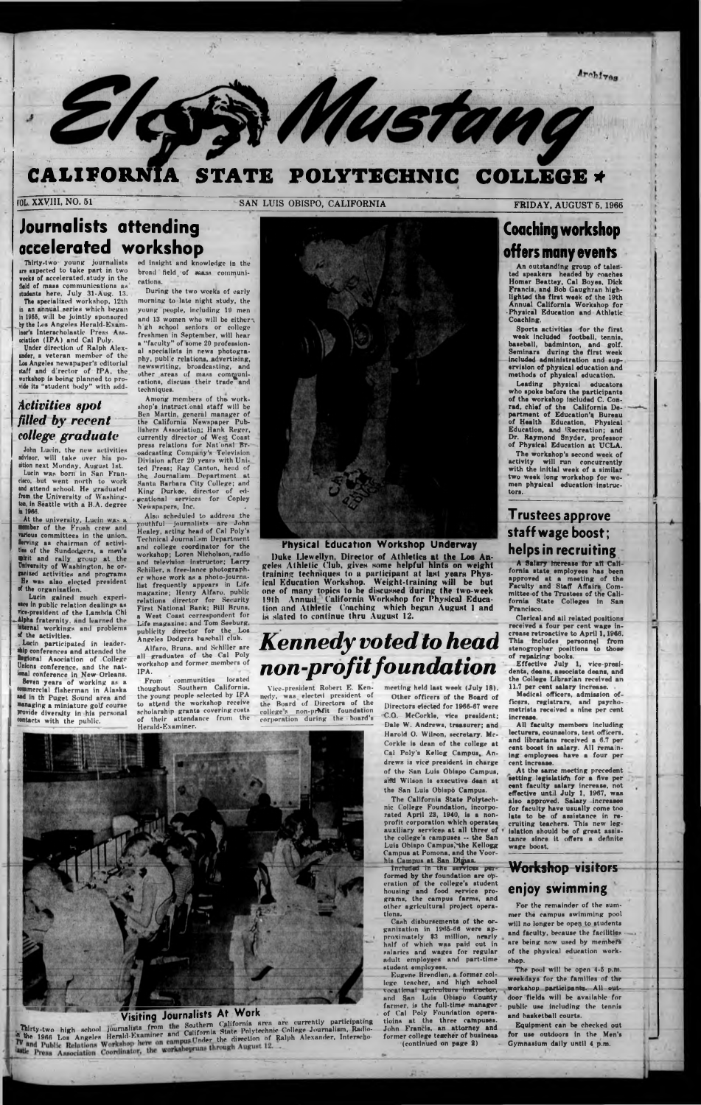*1*

# **CALIFORNIA STATE POLYTECHNIC COLLEGE \***

Elessi Mustang

**FRIDAY, AUGUST 5, 1966**<br>**SAN LUIS OBISPO, CALIFORNIA FRIDAY, AUGUST 5, 1966** 

## **Journalists attending accelerated workshop**

Thirty-two young journalists ire expected to take part in two weeks of accelerated, study in the fiald of mass communications as itudents here, July 31-Aug. 13.

John Lucin, the new activities advisor, will take over his position next Monday, August 1st. Lucin was born in San Fran-

The specialized workshop, 12th in an annual series which began in 19S5, will be jointly sponsored by the Los Angeles Herald-Examiner's Interscholastic Press Association (1PA) and Cal Poly.

cisco, but went north to work and attend school. He graduated from the University of Wushington, in Seattle with a B.A. degree it 1966.

Under direction of Ralph Alexander, a veteran member of the Los Angeles newspaper's editorial staff and d'rector of 1PA, the workshop is being planned to provide its "student body" with add-

#### *Activities spot filled by recent college graduate*

**.Lucin** participated in leader- **•hip** conferences and attended the Regional Asociation of College **Unions** conference, and the national conference in New Orleans. **8even** years of working as a •ommercial fisherman in Alaska and in th Puget Sound area and managing a miniature golf course Provide diversity in his personal contacts with the public.

Among members of the. workshop's instructional staff will be Ben Martin, general manager of the California Newspaper Publishers Association; Hank Reger, currently director of West Coast press relations for Nat'onal Br-1 oadcasting Company's Television Division after 20 years with United Press: Ray Canton, head of the Journalism Department at Santa Barbara City College: and King Durkae, director of educational services for Copley Newspapers, Inc.

At the upiversity, Lucin was a mber of the Frosh crew and various committees in the union. Serving: as chairman df activities of the Sundodgers, a men's whit and rally group at the University of Washington, he orfsnited activities and programs He was also elected president of the organization.

Lucin gained much experience in public relation dealings as vice-president of the Lambda Chi Alpha fraternity, and learned the internal workings and problems of the activities.

> communities located thoughout Southern California, the young people selected by IPA to attend the workshop receive scholarship grants covering costs of their attendance from the Herald-Examiner.



ed insight and knowledge in the broad field of mass communications.

During the two weeks of early morning to late night study, the young people, including 19 men and 13 women who will be either $\tau$ h gh school seniors or college freshmen in September, will hear a "faculty" of some 20 professional specialists in news photography, pubi c relations, advertising, newswriting, broadcasting, and other areas of mass communications, discuss their trade and techniques.

> Directors elected for 1966-67 were college's non-profit foundation of the board's corporation during the board's C.O. McCorkle, vice president; Dale W. Andrews, treasurer; and Harold O. Wilson, secretary. Mc-Corkle is dean of the college at Cal Poly's Kellog Campus, Andrews is vice president in charge of the San Luis Obispo Campus, arid Wilson Is executive dean at

the San Luis Obispo Campus. alifor

Archives

nic College Foundation, incorporated April 23, 1940, is a nonprofit corporation which operates auxiliary services at all three of the college's campuses — the San Luis Obispo Campus, the Kellogg Campus at Pomona, and the Voorhis Campus at San Dimas.

Also scheduled to address the youthful journalists are John Healey, acting head of Cal Poly's Technical Journalism Department and college coordinator for the workshop; Loren Nicholson, radio and television instructor; Larry Schiller, a free-lance photographer whose work as a photo-journalist frequently appears in Life magazine; Henry Alfaro, public relations director for Security First National Bank; Bill Bruns, a West Coast correspondent for Life magazine; and Tom Seeburg, publicity director for the Los Angeles Dodgers baseball club.

Alfaro, Bruns, and Schiller are all graduates of the Cal Poly workshop and former members of IPA.

**Physical tducation Workshop Underway**

Duke Llewellyn, Director of Athletics at the Loe Angeles Athletic Club, gives some helpful hints on weight training techniques to a participant at last years Physical Education Workshop. Weight-training will be but one of many topics to be discussed during the two-week 19th Annual California Workshop for Physical Education and Athletic Coaching which began August 1 and is slated to continue thru August 12.

# *Kennedy voted to head non-profit foundation*

Vice-president Robert E. Ken- meeting held last week (July 18).<br>dy, was elected president of Other officers of the Board of nedy, was elected president of<br>the Board of Directors of the

## Coaching workshop offers many events

An outstanding group of talented speakers headed by coaches Homer Beattey, Cal Boyea, Dick Francis, and Bob Gaughran highlighted the first week of the 19th Annual California Workshop for •Physical Education and Athletic Coaching.

Sports activities for the first week included football, tennis, baseball, badminton, and golf. Seminars during the first week included administration and supervision of physical education and methods of phyaical education.

Leading physical educatora who spoke before the participants of the workshop Included C. Conrad, chief of the California Department of Education's Bureau of Health Education, Physical Education, and 'Recreation; and Dr. Raymond Snyder, professor of Physical Education at UCLA.

The workshop's second week of activity will run concurrently with the initial week of a similar two week long workshop for women phyaical education instructors.

#### **Trustees approve staff wage boost; helps in recruiting**

A Salary Increase fbr alt California state employees has been approved at a meeting of the Faculty and Staff Affairs Committee of the Trustees of the California State Colleges in San Francisco.

Clerical and all related positions received a four per cent wage increase retroactive to April 1,1966. This includes personnel from stenogropher positions to those of repairing books.

Included in the services performed by the foundation are operation of the college's student housing and food service programs, the campus farms, and other agricultural project operations.

Effective July 1, vice-presidents, deans, associste deans, and the College Librarian received an 11.7 per cent salary increase.

Medical officers, admission officers, registrars, and psyehometrists received a nine per cent increase.

All faculty members including lecturers, counselors, test officers, and librarians received a 6.7 per rent boost in salary. All remaining employees have a four per cent increase.

At the same meeting precedent setting legislation for a five per cent faculty salary increase, not effective until July 1, 1967, was also approved. Salary increas for faculty have usually come too late to be of assistance in cruiting teachers. This new legislation should be of great assistance since it offers a definite wage boost.



#### **Visiting Journalists At Work**

Thirty-two high school journalists from the Southern California area are currently participating Thirty-two high school journalists from the Southern California State Polytechnic College Journalism, Radio-The 1966 Los Angeles Herald-Examiner and California State Polytechnic College Journalism, Radio-IV and Dublic Relations Workshop here on campus Under the direction of Ralph Alexander, Interscho-<br>IV and Public Relations Wor

Cash disbursements of the organization in 1965-66 were approximately \$3 million, nearly hnlf of which was paid out in salaries and wages for regular adult employees and part-time student employees.

Eugene Brendlen, a former college teacher, and high school vocational agriculture -instructor, and Ban Luis Obispo County farmer, is the full-time manager of Cal Poly Foundation operations at the three campuses. John Francis, an attorney and former college teacher of business (continued on page 2)

## **Workshop visitors**

#### **enjoy swimming**

For the remainder of the summer the campus swimming pool will no longer be open to students and faculty, because the facilities are being now used by members of the physical education workshop.

The pool will be open 4-5 p.m. weekdays for the families of the workshop participants. All outdoor fields will be available for public use including the tennis and basketball courts.

Equipment can be checked out for use outdoors in the Men's Gymnasium daily until 4 p.m.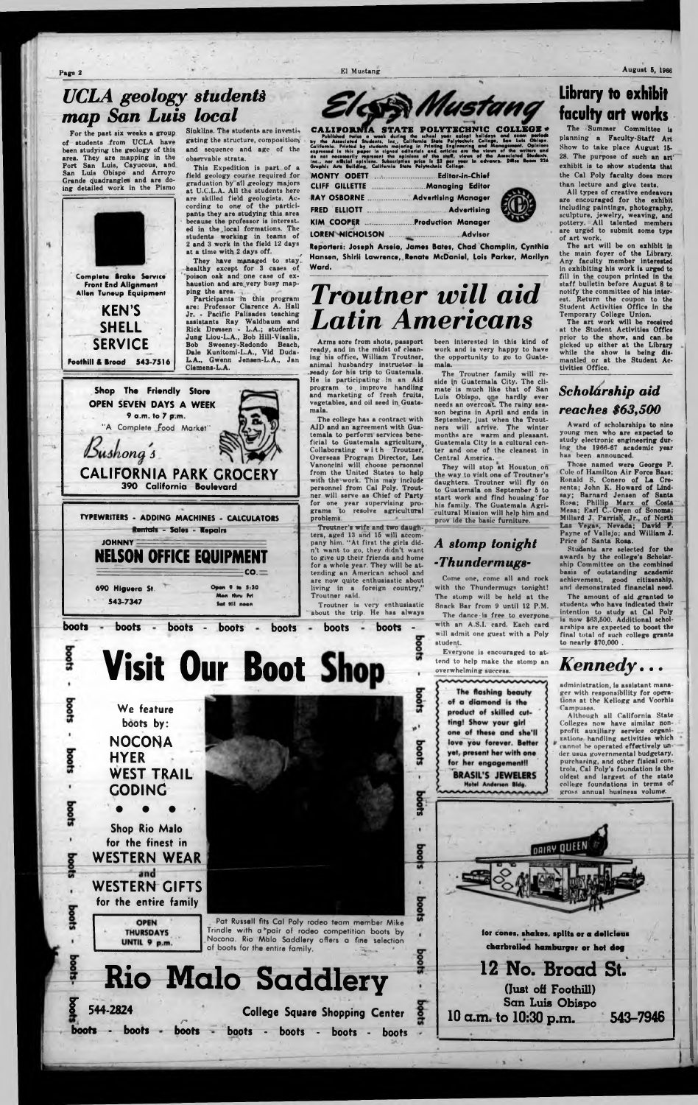## *UCLA geology students map San Luis local*

For the past six weeks a group of students from UCLA have been studying the geology of this area. They are mapping in the Port San Luis, Cayucous, and San Luis Obispo and Arroyo Grande quadrangles and are doing detailed work in the Pismo

Sinkline. The students are investigating the structure, composition and sequence and age of the observable strata.



**Front End Alignment Allen Tuneup Equipment**

> **KEN'S SHELL SERVICE**

This Expedition is part of a field geology course required for graduation by'all geology majors at U.C.L.A. All the students here are skilled field geologists. According to one of the participants they are studying this area because the professor is interested in the .local formations. The students working in teams of 2 and 3 work in the field 12 days at a time with 2 days off. *f*

They have managed to stay healthy except for 3 cases of poison oak and one rase of exhaustion and are very busy mapping the area.

Participants in this program are: Professor Clarence A. Hall Jr. - Pacific Palisades teaching assistants Ray Waldbaum and Rick Dressen - L.A.; students: Jung Liou-L.A., Bob Hill-Visalia, Bob Sweeney-Redondo Beach, Dale Kunitomi-L.A., Vid Duda-L.A., Gwenn Jensen-L.A., Jan

**JOHNNY** NELSON OFFICE EQUIPMENT  $-\frac{1}{2}$   $\sim$   $-\frac{1}{2}$   $\sim$   $-\frac{1}{2}$   $\sim$   $-\frac{1}{2}$   $\sim$   $-\frac{1}{2}$   $\sim$   $-\frac{1}{2}$   $\sim$   $-\frac{1}{2}$   $\sim$   $-\frac{1}{2}$   $\sim$   $-\frac{1}{2}$   $\sim$   $-\frac{1}{2}$   $\sim$   $-\frac{1}{2}$   $\sim$   $-\frac{1}{2}$   $\sim$   $-\frac{1}{2}$   $\sim$   $-\frac{1}{2}$   $\sim$   $-\frac{1}{2}$  **690 Higuera St.** Open 9 to 5:30

**543-7347**

#### o o o • **Shop Rio Malo for the finest in WESTERN WEAR** and **WESTERN GIFTS**

**for the entire family**

**OPEN THURSDAYS** UNTIL 9 p.m.

Pat Russell fits Cal Poly rodeo team member Mike Trindle with a 'pair of rodeo competition boots by Nocona. Rio Mdlo Saddlery offers a fine selection of boots for the entire family.



| <b>CLIFF GILLETTE</b>  | Managing Editor            |  |
|------------------------|----------------------------|--|
| <b>RAY OSBORNE</b>     | <b>Advertising Manager</b> |  |
|                        |                            |  |
| <b>KIM COOPER </b>     | <b>Production Manager</b>  |  |
| <b>LOREN NICHOLSON</b> | Advisor                    |  |

**Reporters: Joseph Arseio, James Bates, Chad Champlin, Cynthia Hansen, Shirli Lawrence, Renate McDaniel, Lois Parker, Marilyn Ward,**

![](_page_1_Picture_44.jpeg)

![](_page_1_Picture_45.jpeg)

残

boots

boots

boots

![](_page_1_Picture_11.jpeg)

Elcon Mustang **CALIFORNIA STATE POL'** 

Published fruits a west during the school grain school pair balldays and exam periods<br>by the Associated Students Inc., California State Polytechuic Callage, San Luis Oblage,<br>California. Printed by students majoring in Prin

# *Troutner will aid Latin Americans*

Come one, come all and rock with the Thundermugs tonight! The stomp will be held at the Snack Bar from 9 until 12 P.M. The dance is free to everyone.

Arms sore from shots, passport ready, and in the midst of cleaning his office, William Troutner, animal husbandry instructor is ready for his trip to Guatemala. He is participating in an Aid program to improve handling and marketing of fresh fruits, vegetables, and oil seed in Guate-

> Thoae named were George P. Cole of Hamilton Air Force Base; Ronald S. Conero of La Cresenta; John K. Howard of Lindsay; Barnard Jensen of Santa Rosa; Phillip Marx of Costa Mesa; Ear] C.. Owen of Sonoma; Millard J. Parrish', Jr., of North Las Vegas, Nevada; David **F.** Payne of Vallejo; and William **J.** Price of Santa Roaa.

The college has a contract with AID and an agreement with Guatemala to perform services beneficial to Guatemala agriculture. Collaborating with Troutner, Overseas Program Director, Les Vanoncini will choose personnel from the United States to help with the 'work. This may include personnel from Cal Poly. Troutner will serve as Chief of Party for one year supervising programs 'to resolve agricultural

Troutner's wife and two daughters, aged 13 and 16 will accompany him. "At first the girls didn't want to go, they didn't want to give up their friends and home for a whole year. They will be attending an American school and are now quite enthusiastic about living in a foreign country,"

about the trip. He has always

Students are selected for the awards by the college's Scholarship Committee on the combined basis of outstanding academic achievement, good citisenship, and demonstrated financial need.

# **Rio Malo Saddlery**

**F 544-2824 boots - boots** *n* **boots College Square Shopping Center boots - boots - boots - boots**

DRIRY QUEEN for cones, shakes, splits or a delicious

been interested in this kind of work and is very happy to have the opportunity to go to Guatemala.

The Troutner family will reside in Guatemala City. The climate' is much like that of San Luis Obispo, qne hardly ever needs an overcoa'L The rainy season begins in April and ends in September, just when the Troutners will arrive. The winter months are warm and pleasant. Guatemala City is a cultural center and one of the cleanest in Central America.

They will stop at Houston, on the way to visit one of Troutner's daughters. Troutner will fly on to Guatemala on September 6 to start work and find housing'for his family. The Guatemala Agricultural Mission will help him and prov ide the basic furniture.

### Library to exhibit faculty art works

The Summer Committee is planning a Faculty-Staff Art Show to take place August 16- 28. The purpose of such an art' exhibit is to show students that the Cal Poly faculty does more than lecture and give tests.

All types of creative endeavors are encouraged for the exhibit including paintings, photography, sculpture, jewelry, weaving, and pottery. All talented members are urged to submit some type of art work.

The art will be on exhibit in the main foyer of the Library. Any faculty member interested in exhibiting his work is urged to fill in the coupon printed in the staff bulletin before August 8 to notify the committee of his interest. Return the coupon to the Student Activities Office in the Temporary College Union.

The art work will be received at the Student Activities Office prior to the show, and can be picked up either at the Library while the show is being dismantled or at the Student Activities Office.

#### *A stomp tonight* **-** *Thundermngs***-**

with an A.S.I. card. Each card will admit one guest with a Poly student. ' Everyone is encouraged to at-

tend to help make the stomp an overwhelming success.

The flashing beauty of a diamond is the product of skilled cutting! Show your girl one of these and she'll love you forever. Better yet, present her with one for her engagement!! **BRASIL'S JEWELERS** Hotel Anderson Bldg.

 $\boldsymbol{\alpha}$ 

g

**Doots** 

boots

Page 2 El Mustang August 5, 1966

#### *Scholarship aid reaches \$63,500*

Award of scholarships to nine young men who are expected to study electronic engineering during the 1966-67 academic year has been announced.

The amount of aid granted to students who have indicated their intention to study at Cal Poly is now \$63,500. Additional scholarships are expected to booat the final total of such college grants to nearly \$70,000 .

## *Kennedy***...**

administration, is assistant manager with responsibility for operations at the Kellogg and Voorhis Campuses.

Although all California State Colleges now have similar nonprofit auxiliary service organizations handling activities which *'* cannot he operated effectively under usua governmental budgetary, purchasing, and other fisical controls, Cal Poly's foundation is the oldest and largest of the state college foundations in terms of gross annual business volume.

charbrelled hamburger or hat deg

## 12 No. Broad St.

(lust off Foothill) San Luis Obispo **10 a.m . to 10:30 p.m . 543-7946**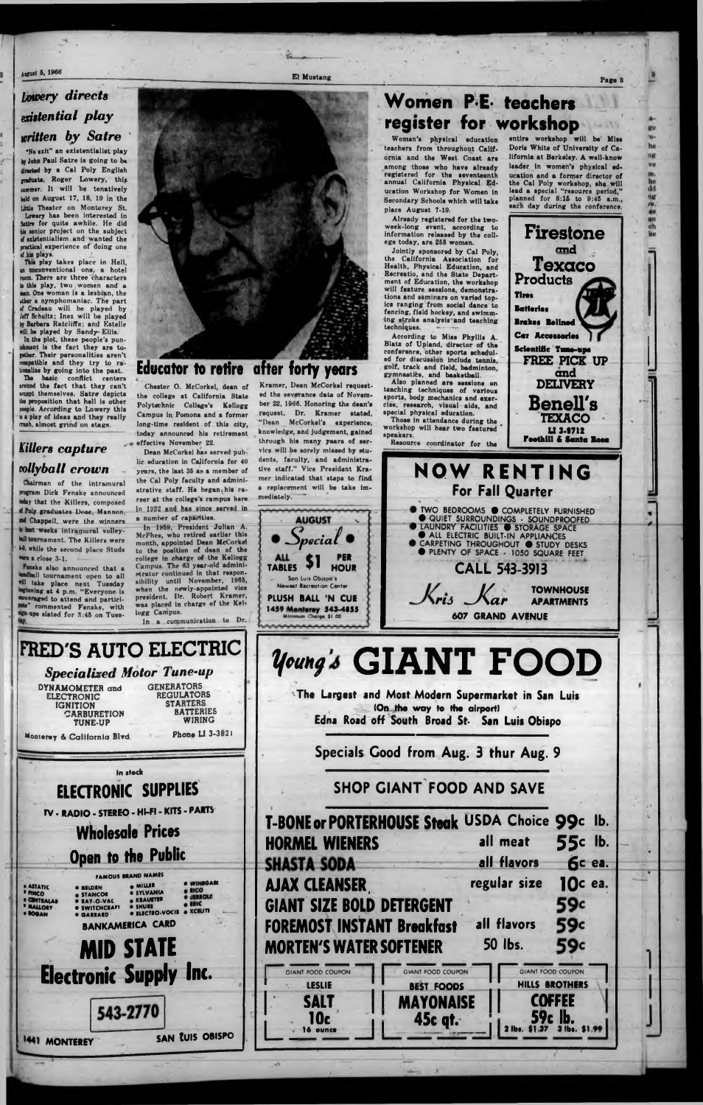*I*

#### *Lowery directs existential p la y written by Satre*

This play takes place in Hell, in unconventional one, a hotel room. There are three characters is this play, two women and a aan. One woman is a lesbian, the ther a nymphomaniac. The part of Cradeau will be played by Jeff Schultz; Inez will be played bp Barbara Rateliffe; and Estelle vill be played by Sandy-Ellis.

*"So* exit" an existentialist play by John Paul Satre is going to be directed by a Cal Poly English graduate, Roger Lowery, this summer. It will be tenatively held on August 17, 18, 10 in the Little Theater on Monterey St. Lowery has been interested in Satire for quite awhile. He did bis eenior project on the subject rf existentialism and wanted the practical experience of doing one *tl* his plays.

In the plot, theae people's punishment is the fact they are to- (ether. Their personalities aren't compatible and they try to rationalise by going into the past. basic conflict centers iround the fact that they can't iccept themselves. Satre depicts the proposition that hell is other le. According to Lowery this is a play of ideas and they really crash, almost grind on stage.

> Dean McCorkel has served public education in California for 40 years, the last 35 as a member of the Cal Poly faculty and administrative staff. He began his career at the college's campus here In 1932 and has since served in a number of capacities.

#### *Killers capture tollyball crown*

In 1959, President Julian A. McPhee, who retired earlier this month, appointed Dean McCorkel to the position of dean of the college in charge of the Kellogg Campus. The 63 year-old administrator continued in that responsibility until November, 1966, when the newly-appointed vice president. Dr. Robert Kramer, was placed in charge of the Kellogg Campus. In a communication to Dr.

Chairman of the intramural program Dick Fenake announced today that the Killers, composed d Poly graduates Dose, Mannon. •ad Chappell, were the winners in last weeks intramural volleyball tournament. The Killers were 44, while the second place Studs •we a close 3-1.

FRED'S AUTO ELECTRIC *Specialized Motor Tune-up* DYNAMOMETER and ELECTRONIC IGNITION **CARBURETION** TUNE-UP Monterey & California Blvd. **GENERATORS** REGULATORS **STARTERS** BATTERIES WIRING Phone LI 3-3821 **in stock** ELECTRONIC SUPPLIES

August 5, 1966<br>
Page 8

ng ve m.<br>he<br>dd ng re. m ch

Fenske also announced that a dball tournament open to all •ill take place next Tuesday beginning at 4 p.m. "Everyone is mcouraged to attend and partici lets" commented Fenske, with ■gn-ups slated for 8:4B on Tues-

Kramer, Dean McCorkel requested the severance date of November 22, 1966. Honoring the dean's request, Dr. Kramer stated, "Dean McCorkel's experience, knowledge, and judgement, gained through his many years of service will be sorely missed by students, faculty, and administrative staff." Vice President Kramer indicated that steps to find a replacement will be take immediately.

## **Women P-E- teachers register for workshop**

![](_page_2_Picture_8.jpeg)

#### Educator to retire after forty years

Chester 0. McCorkel, dean of the college at California State Polytechnic College's Kellogg Campus in Pomona and a former long-time resident of this city, today announced his retirement effective November 22.

Jointly sponsored by Cal Poly, the California Association for Health, Physical Education, and Recreatio, and the State Department of Education, the workshop will feature sessions, demonstrations and seminars on varied topics ranging from social dance to fencing, field hockey, and swimming stroke analysis and teaching techniques.

![](_page_2_Figure_28.jpeg)

Women's physical education teachers from throughout California and the West Coast are among those who have already registered for the seventeenth annual California Physical Education Workshop for Women in Secondary Schools which will take place August 7-19.

Already registered for the twoweek-long event, according to information released by the college today, are 253 women.

According to Miss Phyllis A. Blatz of Upland, director of the conference, other sporta scheduled for discussion include tennie, golf, track and field, badminton, gymnaatibi, and basketball.

Also planned are sessions on teaching techniques of various sports, body mechanics and exercise, research, visual aide, and special physical education.

Thosa in attendanca during the workshop will hear two featured speakers.

entire workshop will be Miss Dorie White of University of California at Barkslay. A well-know leader in women's physical education and a former director of the Cal Poly workshop, she will lead a special "resource period,'' planned for  $8:15$  to  $9:45$  a.m., each day during the conference.

*-S p e c ia f*

**AUGUST** 

**TABLES**

\$1 **PER HOUR**

**- - San Luis Obispo s**

![](_page_2_Picture_24.jpeg)

**Newest Recreation Center PLUSH BALL \*N CUE** 1459 Monterey 543-4855 Minimum Charge \$1.00

| <b>MORTEN'S WATER SOFTENER</b> | <b>GIANT SIZE BOLD DETERGENT</b><br>59c<br>all flavors<br>59c<br><b>FOREMOST INSTANT Breakfast</b><br><b>50 lbs.</b><br>59c |
|--------------------------------|-----------------------------------------------------------------------------------------------------------------------------|
|--------------------------------|-----------------------------------------------------------------------------------------------------------------------------|

**SHOP GIANT FOOD AND SAVE**